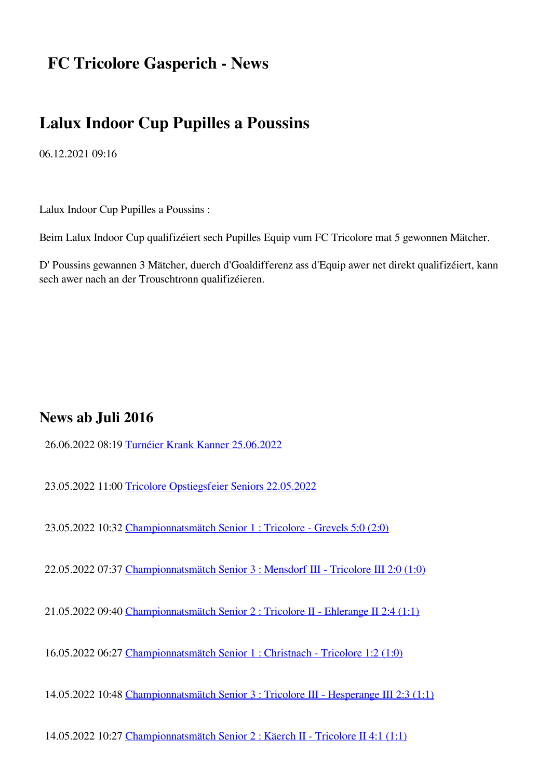# **FC Tricolore Gasperich - News**

## **Lalux Indoor Cup Pupilles a Poussins**

06.12.2021 09:16

Lalux Indoor Cup Pupilles a Poussins :

Beim Lalux Indoor Cup qualifizéiert sech Pupilles Equip vum FC Tricolore mat 5 gewonnen Mätcher.

D' Poussins gewannen 3 Mätcher, duerch d'Goaldifferenz ass d'Equip awer net direkt qualifizéiert, kann sech awer nach an der Trouschtronn qualifizéieren.

### **News ab Juli 2016**

26.06.2022 08:19 [Turnéier Krank Kanner 25.06.2022](https://www.tricolore.lu/new/index.php/news/turneier-krank-kanner-25-06-2022.html)

23.05.2022 11:00 [Tricolore Opstiegsfeier Seniors 22.05.2022](https://www.tricolore.lu/new/index.php/news/tricolore-opstiegsfeier-seniors-22-05-2022.html)

23.05.2022 10:32 [Championnatsmätch Senior 1 : Tricolore - Grevels 5:0 \(2:0\)](https://www.tricolore.lu/new/index.php/news/championnatsmaetch-senior-1-tricolore-grevels-50-20.html)

22.05.2022 07:37 [Championnatsmätch Senior 3 : Mensdorf III - Tricolore III 2:0 \(1:0\)](https://www.tricolore.lu/new/index.php/news/championnatsmaetch-senior-3-mensdorf-iii-tricolore-iii-20-10.html)

21.05.2022 09:40 [Championnatsmätch Senior 2 : Tricolore II - Ehlerange II 2:4 \(1:1\)](https://www.tricolore.lu/new/index.php/news/championnatsmaetch-senior-2-tricolore-ii-ehlerange-ii-24-11.html)

16.05.2022 06:27 [Championnatsmätch Senior 1 : Christnach - Tricolore 1:2 \(1:0\)](https://www.tricolore.lu/new/index.php/news/championnatsmaetch-senior-1-christnach-tricolore-12-10.html)

14.05.2022 10:48 [Championnatsmätch Senior 3 : Tricolore III - Hesperange III 2:3 \(1:1\)](https://www.tricolore.lu/new/index.php/news/championnatsmaetch-senior-2-tricolore-iii-hesperange-iii-23-11.html)